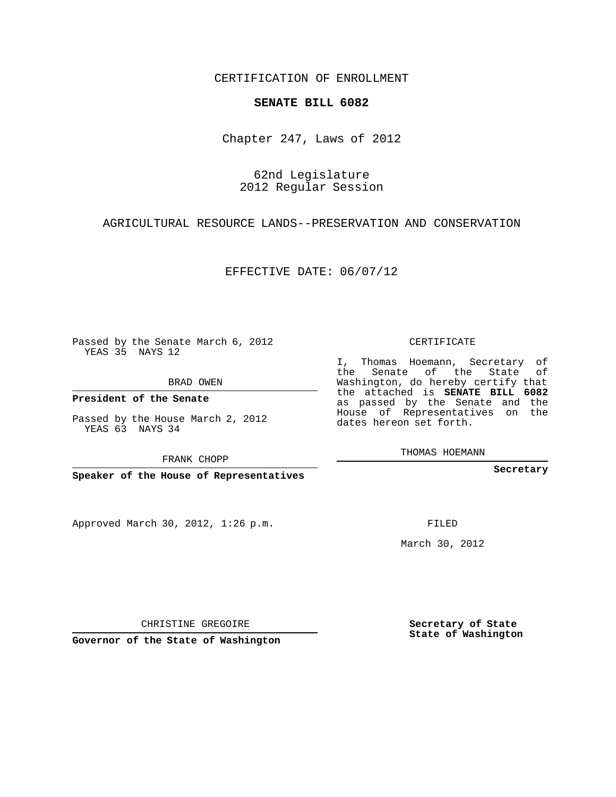### CERTIFICATION OF ENROLLMENT

### **SENATE BILL 6082**

Chapter 247, Laws of 2012

62nd Legislature 2012 Regular Session

AGRICULTURAL RESOURCE LANDS--PRESERVATION AND CONSERVATION

EFFECTIVE DATE: 06/07/12

Passed by the Senate March 6, 2012 YEAS 35 NAYS 12

BRAD OWEN

**President of the Senate**

Passed by the House March 2, 2012 YEAS 63 NAYS 34

FRANK CHOPP

**Speaker of the House of Representatives**

Approved March 30, 2012, 1:26 p.m.

CERTIFICATE

I, Thomas Hoemann, Secretary of the Senate of the State of Washington, do hereby certify that the attached is **SENATE BILL 6082** as passed by the Senate and the House of Representatives on the dates hereon set forth.

THOMAS HOEMANN

**Secretary**

FILED

March 30, 2012

**Secretary of State State of Washington**

CHRISTINE GREGOIRE

**Governor of the State of Washington**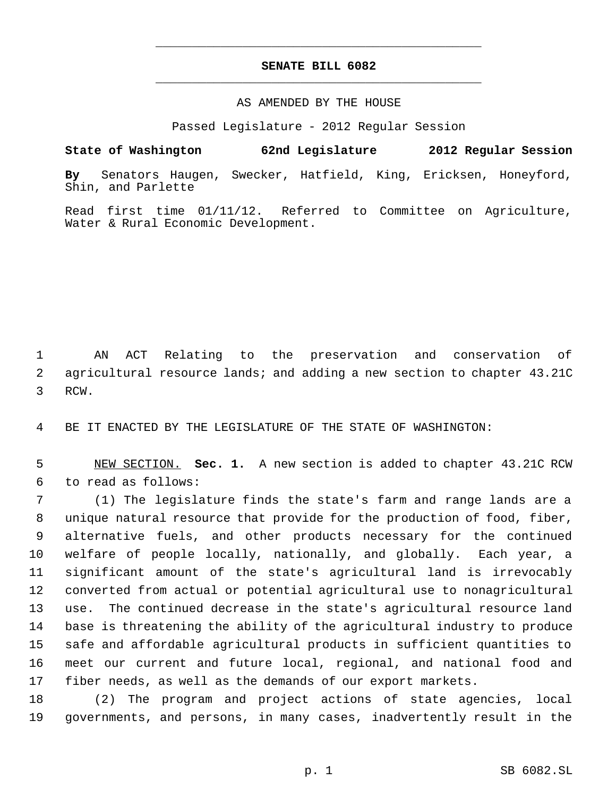# **SENATE BILL 6082** \_\_\_\_\_\_\_\_\_\_\_\_\_\_\_\_\_\_\_\_\_\_\_\_\_\_\_\_\_\_\_\_\_\_\_\_\_\_\_\_\_\_\_\_\_

\_\_\_\_\_\_\_\_\_\_\_\_\_\_\_\_\_\_\_\_\_\_\_\_\_\_\_\_\_\_\_\_\_\_\_\_\_\_\_\_\_\_\_\_\_

### AS AMENDED BY THE HOUSE

Passed Legislature - 2012 Regular Session

## **State of Washington 62nd Legislature 2012 Regular Session**

**By** Senators Haugen, Swecker, Hatfield, King, Ericksen, Honeyford, Shin, and Parlette

Read first time 01/11/12. Referred to Committee on Agriculture, Water & Rural Economic Development.

 AN ACT Relating to the preservation and conservation of agricultural resource lands; and adding a new section to chapter 43.21C RCW.

BE IT ENACTED BY THE LEGISLATURE OF THE STATE OF WASHINGTON:

 NEW SECTION. **Sec. 1.** A new section is added to chapter 43.21C RCW to read as follows:

 (1) The legislature finds the state's farm and range lands are a unique natural resource that provide for the production of food, fiber, alternative fuels, and other products necessary for the continued welfare of people locally, nationally, and globally. Each year, a significant amount of the state's agricultural land is irrevocably converted from actual or potential agricultural use to nonagricultural use. The continued decrease in the state's agricultural resource land base is threatening the ability of the agricultural industry to produce safe and affordable agricultural products in sufficient quantities to meet our current and future local, regional, and national food and fiber needs, as well as the demands of our export markets.

 (2) The program and project actions of state agencies, local governments, and persons, in many cases, inadvertently result in the